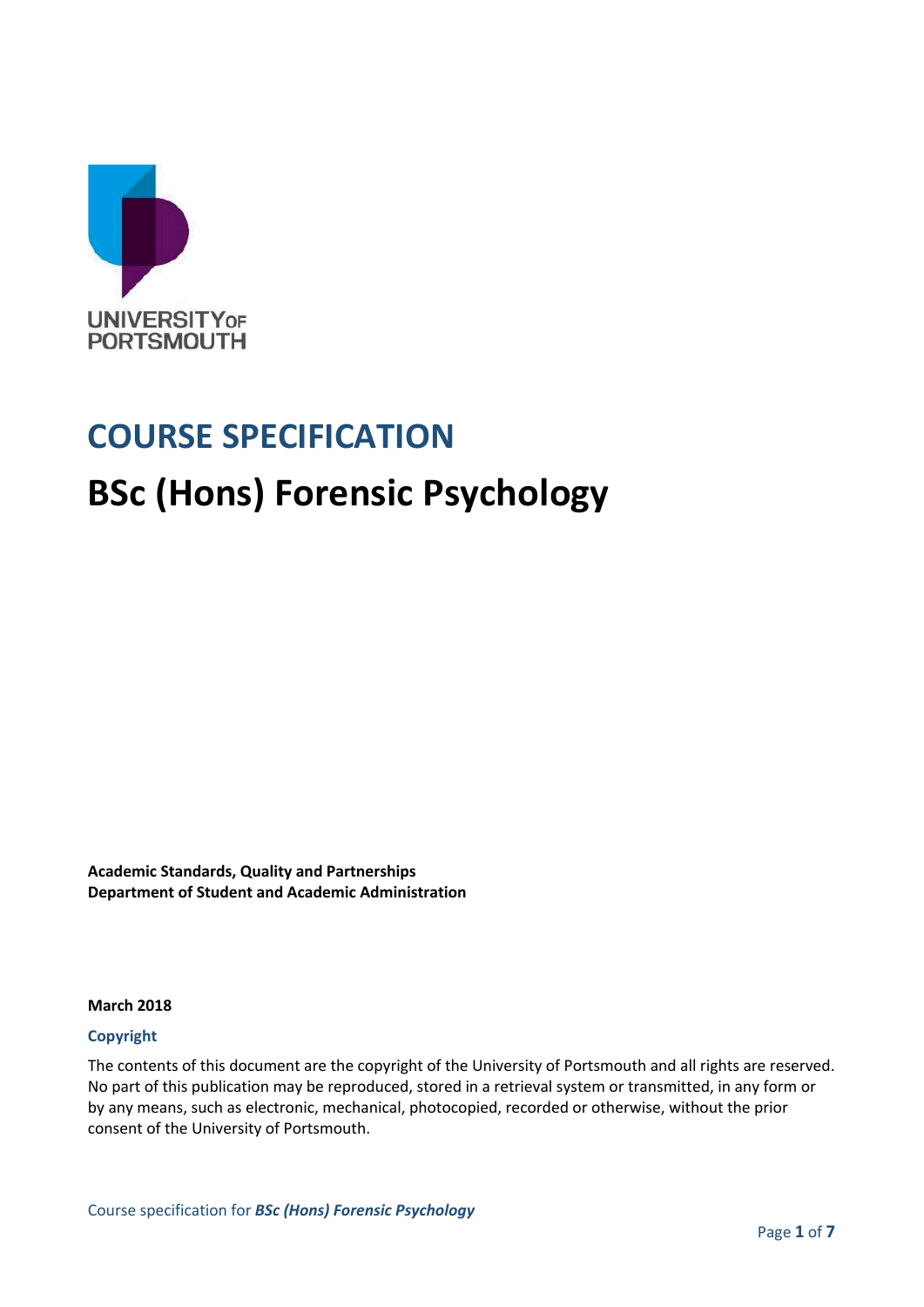

## **COURSE SPECIFICATION**

## **BSc (Hons) Forensic Psychology**

**Academic Standards, Quality and Partnerships Department of Student and Academic Administration**

#### **March 2018**

#### **Copyright**

The contents of this document are the copyright of the University of Portsmouth and all rights are reserved. No part of this publication may be reproduced, stored in a retrieval system or transmitted, in any form or by any means, such as electronic, mechanical, photocopied, recorded or otherwise, without the prior consent of the University of Portsmouth.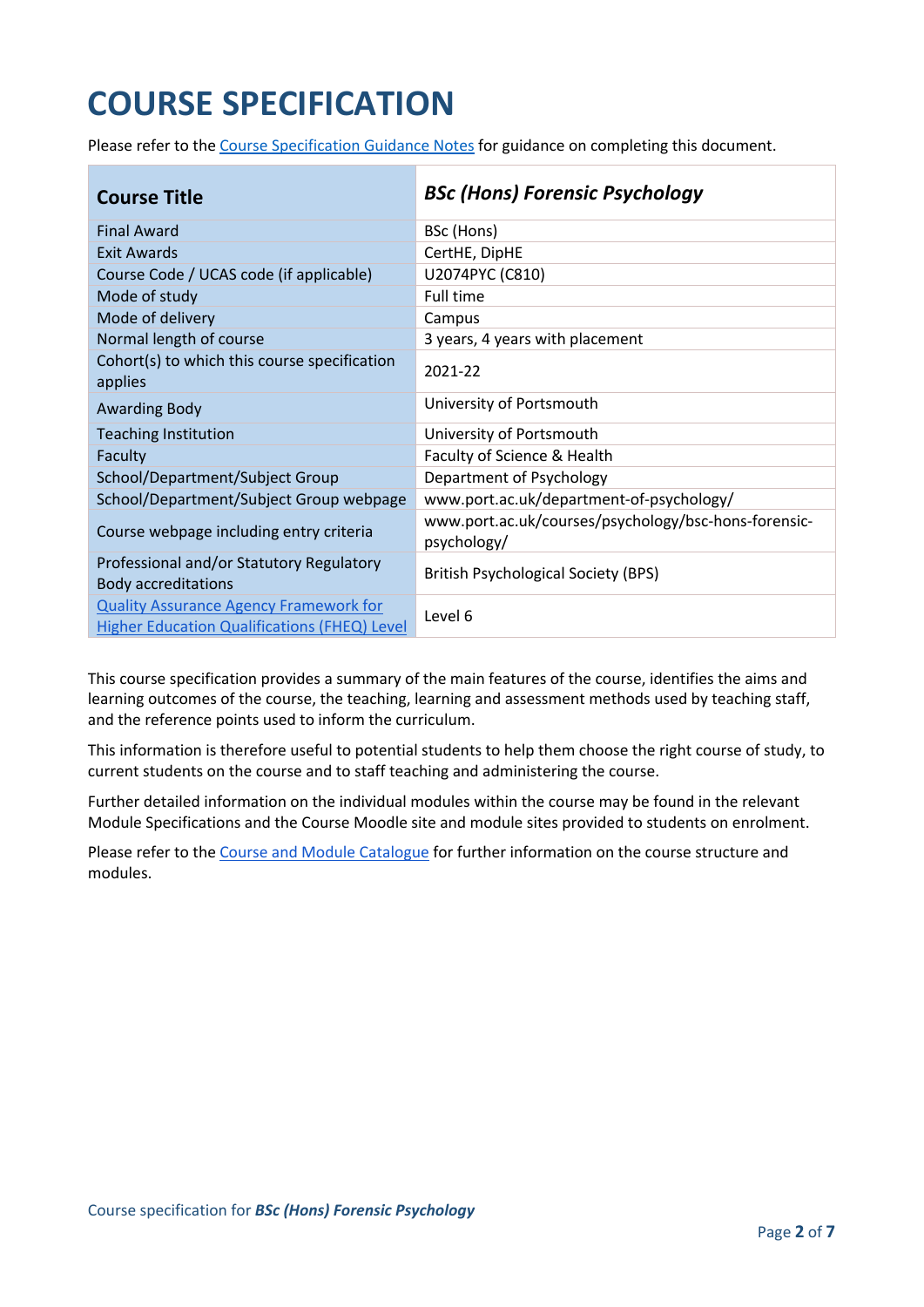# **COURSE SPECIFICATION**

Please refer to the [Course Specification Guidance Notes](http://www.port.ac.uk/departments/services/academicregistry/qmd/curriculum-framework-2019-20/filetodownload,201767,en.docx) for guidance on completing this document.

| <b>Course Title</b>                                                                           | <b>BSc (Hons) Forensic Psychology</b>                               |
|-----------------------------------------------------------------------------------------------|---------------------------------------------------------------------|
| <b>Final Award</b>                                                                            | BSc (Hons)                                                          |
| Exit Awards                                                                                   | CertHE, DipHE                                                       |
| Course Code / UCAS code (if applicable)                                                       | U2074PYC (C810)                                                     |
| Mode of study                                                                                 | Full time                                                           |
| Mode of delivery                                                                              | Campus                                                              |
| Normal length of course                                                                       | 3 years, 4 years with placement                                     |
| Cohort(s) to which this course specification<br>applies                                       | 2021-22                                                             |
| <b>Awarding Body</b>                                                                          | University of Portsmouth                                            |
| <b>Teaching Institution</b>                                                                   | University of Portsmouth                                            |
| Faculty                                                                                       | Faculty of Science & Health                                         |
| School/Department/Subject Group                                                               | Department of Psychology                                            |
| School/Department/Subject Group webpage                                                       | www.port.ac.uk/department-of-psychology/                            |
| Course webpage including entry criteria                                                       | www.port.ac.uk/courses/psychology/bsc-hons-forensic-<br>psychology/ |
| Professional and/or Statutory Regulatory<br><b>Body accreditations</b>                        | <b>British Psychological Society (BPS)</b>                          |
| <b>Quality Assurance Agency Framework for</b><br>Higher Education Qualifications (FHEQ) Level | Level 6                                                             |

This course specification provides a summary of the main features of the course, identifies the aims and learning outcomes of the course, the teaching, learning and assessment methods used by teaching staff, and the reference points used to inform the curriculum.

This information is therefore useful to potential students to help them choose the right course of study, to current students on the course and to staff teaching and administering the course.

Further detailed information on the individual modules within the course may be found in the relevant Module Specifications and the Course Moodle site and module sites provided to students on enrolment.

Please refer to the [Course and Module Catalogue](https://course-module-catalog.port.ac.uk/#/welcome) for further information on the course structure and modules.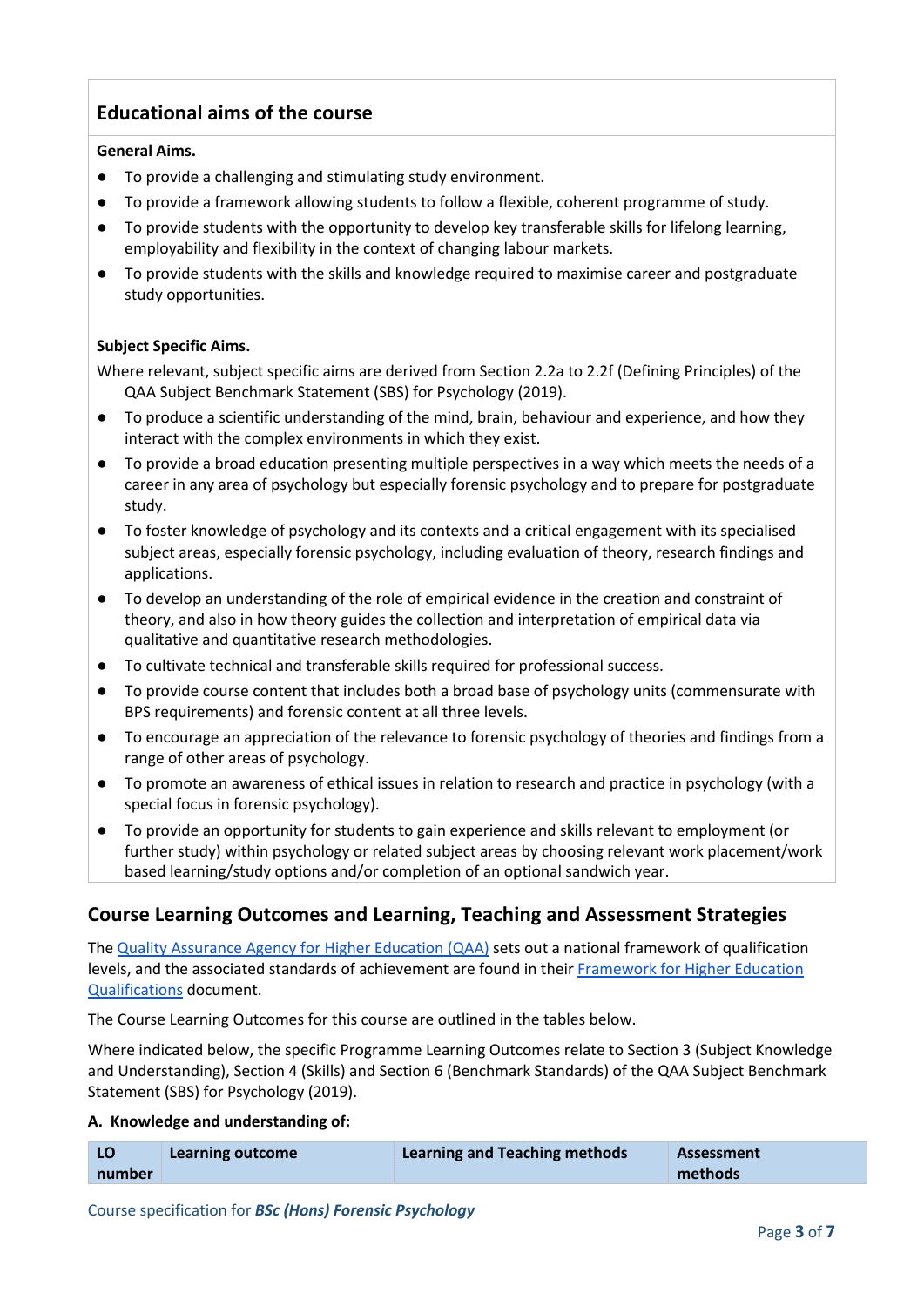## **Educational aims of the course**

#### **General Aims.**

- To provide a challenging and stimulating study environment.
- To provide a framework allowing students to follow a flexible, coherent programme of study.
- To provide students with the opportunity to develop key transferable skills for lifelong learning, employability and flexibility in the context of changing labour markets.
- To provide students with the skills and knowledge required to maximise career and postgraduate study opportunities.

#### **Subject Specific Aims.**

Where relevant, subject specific aims are derived from Section 2.2a to 2.2f (Defining Principles) of the QAA Subject Benchmark Statement (SBS) for Psychology (2019).

- To produce a scientific understanding of the mind, brain, behaviour and experience, and how they interact with the complex environments in which they exist.
- To provide a broad education presenting multiple perspectives in a way which meets the needs of a career in any area of psychology but especially forensic psychology and to prepare for postgraduate study.
- To foster knowledge of psychology and its contexts and a critical engagement with its specialised subject areas, especially forensic psychology, including evaluation of theory, research findings and applications.
- To develop an understanding of the role of empirical evidence in the creation and constraint of theory, and also in how theory guides the collection and interpretation of empirical data via qualitative and quantitative research methodologies.
- To cultivate technical and transferable skills required for professional success.
- To provide course content that includes both a broad base of psychology units (commensurate with BPS requirements) and forensic content at all three levels.
- To encourage an appreciation of the relevance to forensic psychology of theories and findings from a range of other areas of psychology.
- To promote an awareness of ethical issues in relation to research and practice in psychology (with a special focus in forensic psychology).
- To provide an opportunity for students to gain experience and skills relevant to employment (or further study) within psychology or related subject areas by choosing relevant work placement/work based learning/study options and/or completion of an optional sandwich year.

### **Course Learning Outcomes and Learning, Teaching and Assessment Strategies**

The [Quality Assurance Agency for Higher Education \(QAA\)](http://www.qaa.ac.uk/en) sets out a national framework of qualification levels, and the associated standards of achievement are found in their [Framework for Higher Education](https://www.qaa.ac.uk/quality-code/higher-education-credit-framework-for-england)  [Qualifications](https://www.qaa.ac.uk/quality-code/higher-education-credit-framework-for-england) document.

The Course Learning Outcomes for this course are outlined in the tables below.

Where indicated below, the specific Programme Learning Outcomes relate to Section 3 (Subject Knowledge and Understanding), Section 4 (Skills) and Section 6 (Benchmark Standards) of the QAA Subject Benchmark Statement (SBS) for Psychology (2019).

#### **A. Knowledge and understanding of:**

| LO     | <b>Learning outcome</b> | <b>Learning and Teaching methods</b> | <b>Assessment</b> |
|--------|-------------------------|--------------------------------------|-------------------|
| number |                         |                                      | methods           |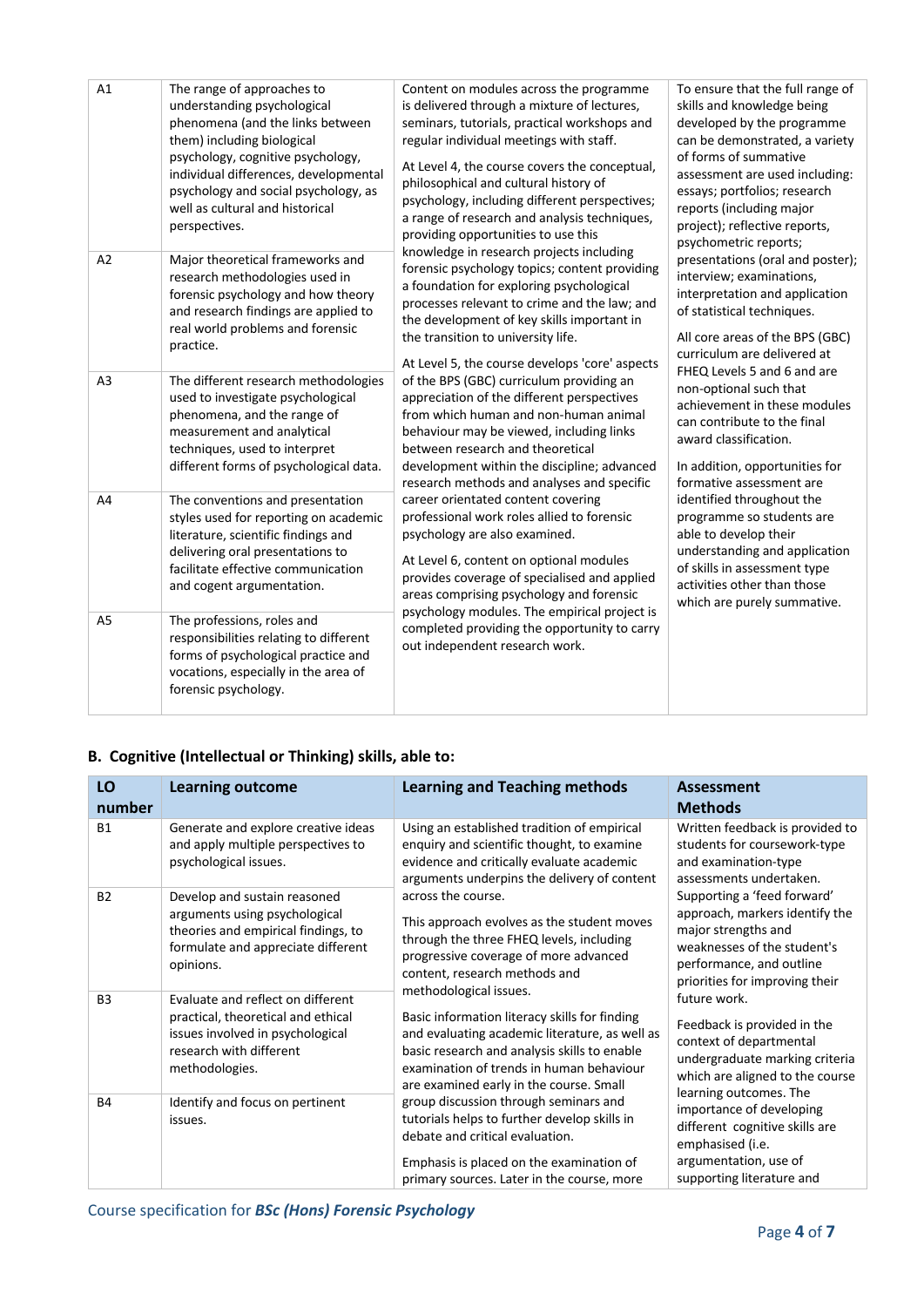| A1             | The range of approaches to<br>understanding psychological<br>phenomena (and the links between<br>them) including biological<br>psychology, cognitive psychology,<br>individual differences, developmental<br>psychology and social psychology, as<br>well as cultural and historical<br>perspectives. | Content on modules across the programme<br>is delivered through a mixture of lectures,<br>seminars, tutorials, practical workshops and<br>regular individual meetings with staff.<br>At Level 4, the course covers the conceptual,<br>philosophical and cultural history of<br>psychology, including different perspectives;<br>a range of research and analysis techniques,<br>providing opportunities to use this                                                                                                                                                                                                                                                                                                                                          | To ensure that the full range of<br>skills and knowledge being<br>developed by the programme<br>can be demonstrated, a variety<br>of forms of summative<br>assessment are used including:<br>essays; portfolios; research<br>reports (including major<br>project); reflective reports,<br>psychometric reports;                                                                                                               |
|----------------|-------------------------------------------------------------------------------------------------------------------------------------------------------------------------------------------------------------------------------------------------------------------------------------------------------|--------------------------------------------------------------------------------------------------------------------------------------------------------------------------------------------------------------------------------------------------------------------------------------------------------------------------------------------------------------------------------------------------------------------------------------------------------------------------------------------------------------------------------------------------------------------------------------------------------------------------------------------------------------------------------------------------------------------------------------------------------------|-------------------------------------------------------------------------------------------------------------------------------------------------------------------------------------------------------------------------------------------------------------------------------------------------------------------------------------------------------------------------------------------------------------------------------|
| A2             | Major theoretical frameworks and<br>research methodologies used in<br>forensic psychology and how theory<br>and research findings are applied to<br>real world problems and forensic<br>practice.                                                                                                     | knowledge in research projects including<br>forensic psychology topics; content providing<br>a foundation for exploring psychological<br>processes relevant to crime and the law; and<br>the development of key skills important in<br>the transition to university life.                                                                                                                                                                                                                                                                                                                                                                                                                                                                                    | presentations (oral and poster);<br>interview; examinations,<br>interpretation and application<br>of statistical techniques.<br>All core areas of the BPS (GBC)<br>curriculum are delivered at                                                                                                                                                                                                                                |
| A <sub>3</sub> | The different research methodologies<br>used to investigate psychological<br>phenomena, and the range of<br>measurement and analytical<br>techniques, used to interpret<br>different forms of psychological data.                                                                                     | At Level 5, the course develops 'core' aspects<br>of the BPS (GBC) curriculum providing an<br>appreciation of the different perspectives<br>from which human and non-human animal<br>behaviour may be viewed, including links<br>between research and theoretical<br>development within the discipline; advanced<br>research methods and analyses and specific<br>career orientated content covering<br>professional work roles allied to forensic<br>psychology are also examined.<br>At Level 6, content on optional modules<br>provides coverage of specialised and applied<br>areas comprising psychology and forensic<br>psychology modules. The empirical project is<br>completed providing the opportunity to carry<br>out independent research work. | FHEQ Levels 5 and 6 and are<br>non-optional such that<br>achievement in these modules<br>can contribute to the final<br>award classification.<br>In addition, opportunities for<br>formative assessment are<br>identified throughout the<br>programme so students are<br>able to develop their<br>understanding and application<br>of skills in assessment type<br>activities other than those<br>which are purely summative. |
| A4             | The conventions and presentation<br>styles used for reporting on academic<br>literature, scientific findings and<br>delivering oral presentations to<br>facilitate effective communication<br>and cogent argumentation.                                                                               |                                                                                                                                                                                                                                                                                                                                                                                                                                                                                                                                                                                                                                                                                                                                                              |                                                                                                                                                                                                                                                                                                                                                                                                                               |
| A <sub>5</sub> | The professions, roles and<br>responsibilities relating to different<br>forms of psychological practice and<br>vocations, especially in the area of<br>forensic psychology.                                                                                                                           |                                                                                                                                                                                                                                                                                                                                                                                                                                                                                                                                                                                                                                                                                                                                                              |                                                                                                                                                                                                                                                                                                                                                                                                                               |

#### **B. Cognitive (Intellectual or Thinking) skills, able to:**

| LO             | <b>Learning outcome</b>                                                                                                                                  | <b>Learning and Teaching methods</b>                                                                                                                                                                                                   | <b>Assessment</b>                                                                                                                                                                 |
|----------------|----------------------------------------------------------------------------------------------------------------------------------------------------------|----------------------------------------------------------------------------------------------------------------------------------------------------------------------------------------------------------------------------------------|-----------------------------------------------------------------------------------------------------------------------------------------------------------------------------------|
| number         |                                                                                                                                                          |                                                                                                                                                                                                                                        | <b>Methods</b>                                                                                                                                                                    |
| <b>B1</b>      | Generate and explore creative ideas<br>and apply multiple perspectives to<br>psychological issues.                                                       | Using an established tradition of empirical<br>enquiry and scientific thought, to examine<br>evidence and critically evaluate academic<br>arguments underpins the delivery of content                                                  | Written feedback is provided to<br>students for coursework-type<br>and examination-type<br>assessments undertaken.                                                                |
| <b>B2</b>      | Develop and sustain reasoned<br>arguments using psychological<br>theories and empirical findings, to<br>formulate and appreciate different<br>opinions.  | across the course.<br>This approach evolves as the student moves<br>through the three FHEQ levels, including<br>progressive coverage of more advanced<br>content, research methods and<br>methodological issues.                       | Supporting a 'feed forward'<br>approach, markers identify the<br>major strengths and<br>weaknesses of the student's<br>performance, and outline<br>priorities for improving their |
| B <sub>3</sub> | Evaluate and reflect on different<br>practical, theoretical and ethical<br>issues involved in psychological<br>research with different<br>methodologies. | Basic information literacy skills for finding<br>and evaluating academic literature, as well as<br>basic research and analysis skills to enable<br>examination of trends in human behaviour<br>are examined early in the course. Small | future work.<br>Feedback is provided in the<br>context of departmental<br>undergraduate marking criteria<br>which are aligned to the course<br>learning outcomes. The             |
| <b>B4</b>      | Identify and focus on pertinent<br>issues.                                                                                                               | group discussion through seminars and<br>tutorials helps to further develop skills in<br>debate and critical evaluation.<br>Emphasis is placed on the examination of<br>primary sources. Later in the course, more                     | importance of developing<br>different cognitive skills are<br>emphasised (i.e.<br>argumentation, use of<br>supporting literature and                                              |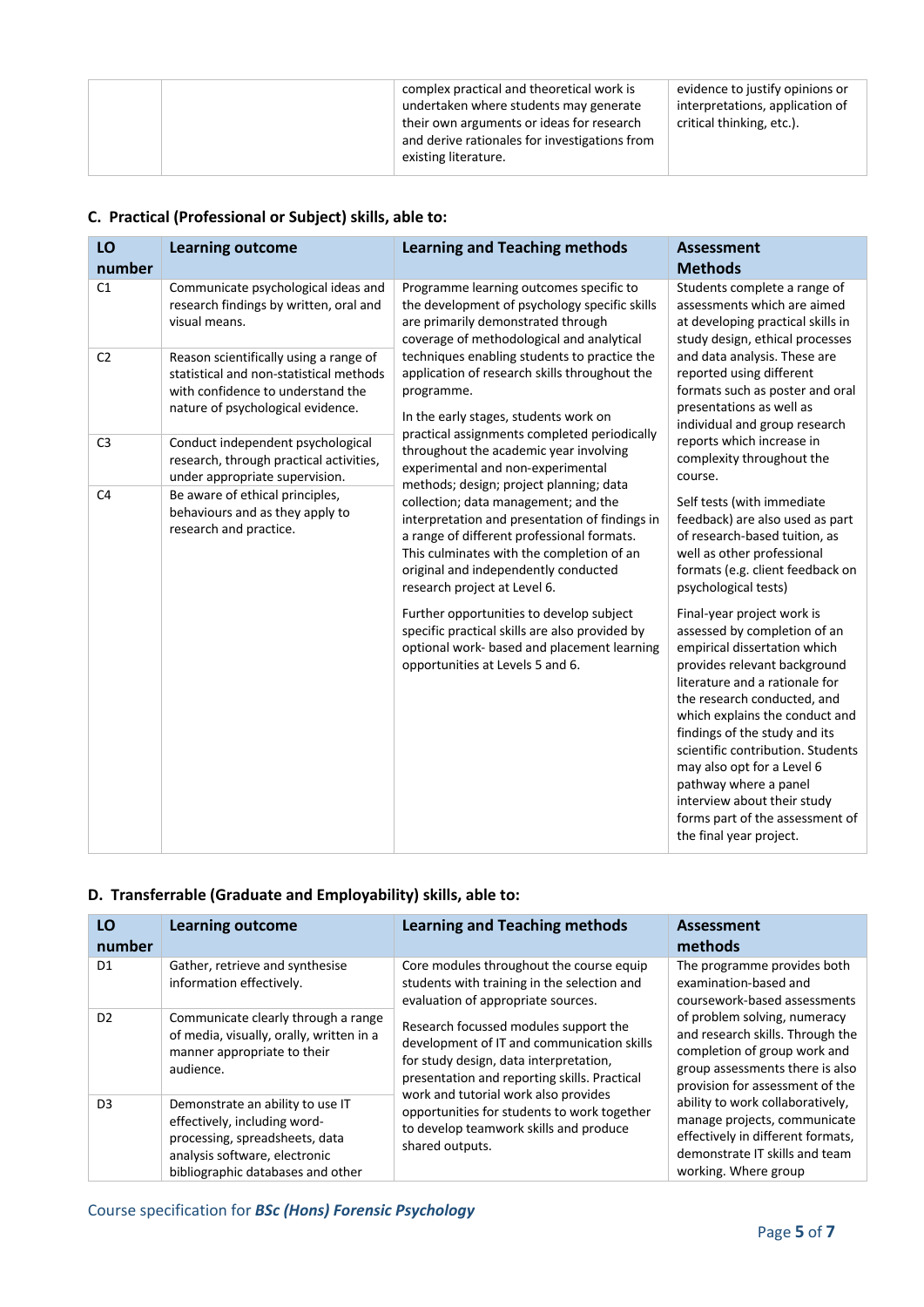| complex practical and theoretical work is<br>undertaken where students may generate                                | evidence to justify opinions or<br>interpretations, application of |
|--------------------------------------------------------------------------------------------------------------------|--------------------------------------------------------------------|
| their own arguments or ideas for research<br>and derive rationales for investigations from<br>existing literature. | critical thinking, etc.).                                          |

### **C. Practical (Professional or Subject) skills, able to:**

| LO<br>number   | <b>Learning outcome</b>                                                                                                                                     | <b>Learning and Teaching methods</b>                                                                                                                                                                                                                                                                 | <b>Assessment</b><br><b>Methods</b>                                                                                                                                                                                                                                                                                                                                                                                                                     |                                                                  |
|----------------|-------------------------------------------------------------------------------------------------------------------------------------------------------------|------------------------------------------------------------------------------------------------------------------------------------------------------------------------------------------------------------------------------------------------------------------------------------------------------|---------------------------------------------------------------------------------------------------------------------------------------------------------------------------------------------------------------------------------------------------------------------------------------------------------------------------------------------------------------------------------------------------------------------------------------------------------|------------------------------------------------------------------|
| C1             | Communicate psychological ideas and<br>research findings by written, oral and<br>visual means.                                                              | Programme learning outcomes specific to<br>the development of psychology specific skills<br>are primarily demonstrated through<br>coverage of methodological and analytical                                                                                                                          | Students complete a range of<br>assessments which are aimed<br>at developing practical skills in<br>study design, ethical processes                                                                                                                                                                                                                                                                                                                     |                                                                  |
| C <sub>2</sub> | Reason scientifically using a range of<br>statistical and non-statistical methods<br>with confidence to understand the<br>nature of psychological evidence. | techniques enabling students to practice the<br>application of research skills throughout the<br>programme.<br>In the early stages, students work on                                                                                                                                                 | and data analysis. These are<br>reported using different<br>presentations as well as                                                                                                                                                                                                                                                                                                                                                                    | formats such as poster and oral<br>individual and group research |
| C <sub>3</sub> | Conduct independent psychological<br>research, through practical activities,<br>under appropriate supervision.                                              | practical assignments completed periodically<br>throughout the academic year involving<br>experimental and non-experimental                                                                                                                                                                          | reports which increase in<br>complexity throughout the<br>course.                                                                                                                                                                                                                                                                                                                                                                                       |                                                                  |
| C <sub>4</sub> | Be aware of ethical principles,<br>behaviours and as they apply to<br>research and practice.                                                                | methods; design; project planning; data<br>collection; data management; and the<br>interpretation and presentation of findings in<br>a range of different professional formats.<br>This culminates with the completion of an<br>original and independently conducted<br>research project at Level 6. | Self tests (with immediate<br>feedback) are also used as part<br>of research-based tuition, as<br>well as other professional<br>formats (e.g. client feedback on<br>psychological tests)                                                                                                                                                                                                                                                                |                                                                  |
|                |                                                                                                                                                             | Further opportunities to develop subject<br>specific practical skills are also provided by<br>optional work- based and placement learning<br>opportunities at Levels 5 and 6.                                                                                                                        | Final-year project work is<br>assessed by completion of an<br>empirical dissertation which<br>provides relevant background<br>literature and a rationale for<br>the research conducted, and<br>which explains the conduct and<br>findings of the study and its<br>scientific contribution. Students<br>may also opt for a Level 6<br>pathway where a panel<br>interview about their study<br>forms part of the assessment of<br>the final year project. |                                                                  |

#### **D. Transferrable (Graduate and Employability) skills, able to:**

| LO<br>number   | <b>Learning outcome</b>                                                                                                                                                  | <b>Learning and Teaching methods</b>                                                                                                                                                                                  | Assessment<br>methods                                                                                                                                                  |
|----------------|--------------------------------------------------------------------------------------------------------------------------------------------------------------------------|-----------------------------------------------------------------------------------------------------------------------------------------------------------------------------------------------------------------------|------------------------------------------------------------------------------------------------------------------------------------------------------------------------|
| D <sub>1</sub> | Gather, retrieve and synthesise<br>information effectively.                                                                                                              | Core modules throughout the course equip<br>students with training in the selection and<br>evaluation of appropriate sources.                                                                                         | The programme provides both<br>examination-based and<br>coursework-based assessments                                                                                   |
| D <sub>2</sub> | Communicate clearly through a range<br>of media, visually, orally, written in a<br>manner appropriate to their<br>audience.                                              | Research focussed modules support the<br>development of IT and communication skills<br>for study design, data interpretation,<br>presentation and reporting skills. Practical<br>work and tutorial work also provides | of problem solving, numeracy<br>and research skills. Through the<br>completion of group work and<br>group assessments there is also<br>provision for assessment of the |
| D <sub>3</sub> | Demonstrate an ability to use IT<br>effectively, including word-<br>processing, spreadsheets, data<br>analysis software, electronic<br>bibliographic databases and other | opportunities for students to work together<br>to develop teamwork skills and produce<br>shared outputs.                                                                                                              | ability to work collaboratively,<br>manage projects, communicate<br>effectively in different formats,<br>demonstrate IT skills and team<br>working. Where group        |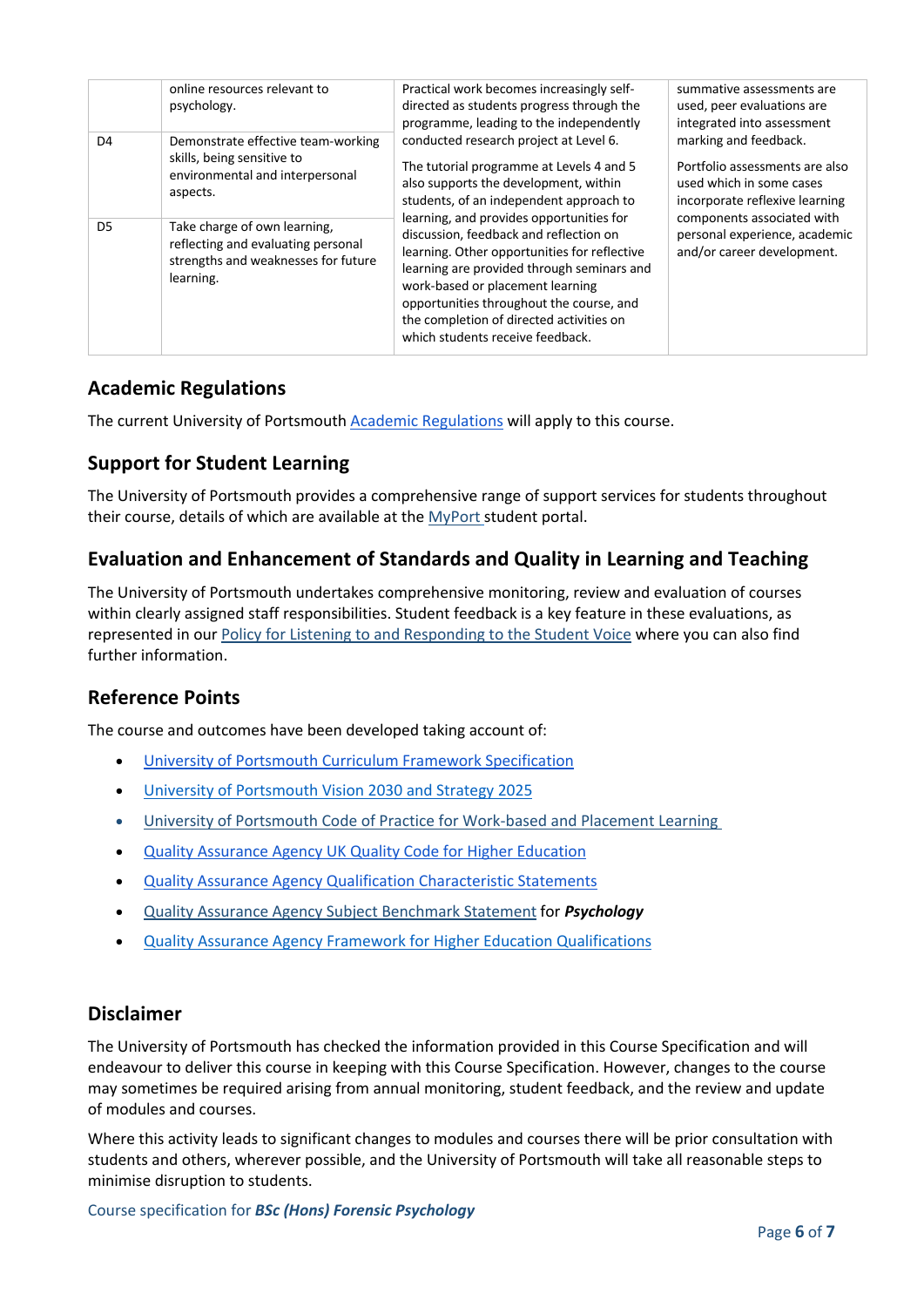|                | online resources relevant to<br>psychology.                                                                            | Practical work becomes increasingly self-<br>directed as students progress through the<br>programme, leading to the independently                                                                                                                                                                                                                | summative assessments are<br>used, peer evaluations are<br>integrated into assessment                                 |
|----------------|------------------------------------------------------------------------------------------------------------------------|--------------------------------------------------------------------------------------------------------------------------------------------------------------------------------------------------------------------------------------------------------------------------------------------------------------------------------------------------|-----------------------------------------------------------------------------------------------------------------------|
| D <sub>4</sub> | Demonstrate effective team-working<br>skills, being sensitive to<br>environmental and interpersonal<br>aspects.        | conducted research project at Level 6.<br>The tutorial programme at Levels 4 and 5<br>also supports the development, within<br>students, of an independent approach to                                                                                                                                                                           | marking and feedback.<br>Portfolio assessments are also<br>used which in some cases<br>incorporate reflexive learning |
| D <sub>5</sub> | Take charge of own learning,<br>reflecting and evaluating personal<br>strengths and weaknesses for future<br>learning. | learning, and provides opportunities for<br>discussion, feedback and reflection on<br>learning. Other opportunities for reflective<br>learning are provided through seminars and<br>work-based or placement learning<br>opportunities throughout the course, and<br>the completion of directed activities on<br>which students receive feedback. | components associated with<br>personal experience, academic<br>and/or career development.                             |

### **Academic Regulations**

The current University of Portsmouth [Academic Regulations](https://policies.docstore.port.ac.uk/policy-107.pdf?_ga=2.115099791.988573471.1600698712-86764541.1593710288) will apply to this course.

### **Support for Student Learning**

The University of Portsmouth provides a comprehensive range of support services for students throughout their course, details of which are available at the [MyPort](http://myport.ac.uk/) student portal.

## **Evaluation and Enhancement of Standards and Quality in Learning and Teaching**

The University of Portsmouth undertakes comprehensive monitoring, review and evaluation of courses within clearly assigned staff responsibilities. Student feedback is a key feature in these evaluations, as represented in our [Policy for Listening to and Responding to the Student Voice](http://policies.docstore.port.ac.uk/policy-069.pdf) where you can also find further information.

### **Reference Points**

The course and outcomes have been developed taking account of:

- [University of Portsmouth Curriculum Framework Specification](http://policies.docstore.port.ac.uk/policy-217.pdf?_ga=2.80596127.988573471.1600698712-86764541.1593710288)
- [University of Portsmouth Vision 2030 and Strategy 2025](https://www.port.ac.uk/about-us/our-ambition/our-strategy)
- [University of Portsmouth Code of Practice for Work-based and Placement Learning](http://policies.docstore.port.ac.uk/policy-151.pdf)
- [Quality Assurance Agency UK Quality Code for Higher Education](https://www.qaa.ac.uk/quality-code)
- [Quality Assurance Agency Qualification Characteristic Statements](https://www.qaa.ac.uk/quality-code/characteristics-statements)
- [Quality Assurance Agency Subject Benchmark Statement](https://www.qaa.ac.uk/docs/qaa/subject-benchmark-statements/subject-benchmark-statement-psychology.pdf?sfvrsn=6935c881_15) for *Psychology*
- [Quality Assurance Agency Framework for Higher Education Qualifications](https://www.qaa.ac.uk/en/quality-code/qualifications-and-credit-frameworks)

#### **Disclaimer**

The University of Portsmouth has checked the information provided in this Course Specification and will endeavour to deliver this course in keeping with this Course Specification. However, changes to the course may sometimes be required arising from annual monitoring, student feedback, and the review and update of modules and courses.

Where this activity leads to significant changes to modules and courses there will be prior consultation with students and others, wherever possible, and the University of Portsmouth will take all reasonable steps to minimise disruption to students.